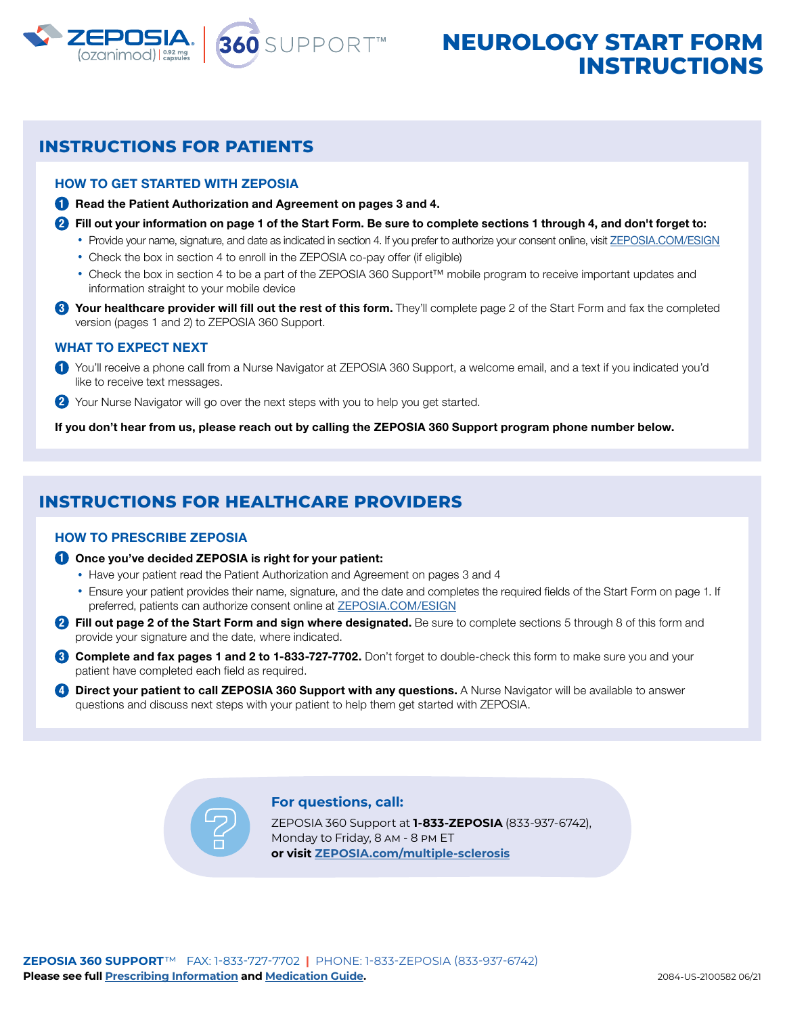

# **INSTRUCTIONS**

### **INSTRUCTIONS FOR PATIENTS**

### HOW TO GET STARTED WITH ZEPOSIA

**1** Read the Patient Authorization and Agreement on pages 3 and 4.

- **2** Fill out your information on page 1 of the Start Form. Be sure to complete sections 1 through 4, and don't forget to:
	- Provide your name, signature, and date as indicated in section 4. If you prefer to authorize your consent online, visit [ZEPOSIA.COM/ESIGN](https://zeposia360supportprod.na2.echosign.com/public/esignWidget?wid=CBFCIBAA3AAABLblqZhCEu3GGnzr4f9ayXXYIfHfsEOGvRyWQti_JWhXC0C5cOAA7iRo5_u-kERXd2TSfJeM)
	- Check the box in section 4 to enroll in the ZEPOSIA co-pay offer (if eligible)
	- Check the box in section 4 to be a part of the ZEPOSIA 360 Support™ mobile program to receive important updates and information straight to your mobile device
- **3** Your healthcare provider will fill out the rest of this form. They'll complete page 2 of the Start Form and fax the completed version (pages 1 and 2) to ZEPOSIA 360 Support.

### WHAT TO EXPECT NEXT

- **1** You'll receive a phone call from a Nurse Navigator at ZEPOSIA 360 Support, a welcome email, and a text if you indicated you'd like to receive text messages.
- **2** Your Nurse Navigator will go over the next steps with you to help you get started.

If you don't hear from us, please reach out by calling the ZEPOSIA 360 Support program phone number below.

### **INSTRUCTIONS FOR HEALTHCARE PROVIDERS**

### HOW TO PRESCRIBE ZEPOSIA

- **1** Once you've decided ZEPOSIA is right for your patient:
	- Have your patient read the Patient Authorization and Agreement on pages 3 and 4
	- Ensure your patient provides their name, signature, and the date and completes the required fields of the Start Form on page 1. If preferred, patients can authorize consent online at **[ZEPOSIA.COM/ESIGN](https://zeposia360supportprod.na2.echosign.com/public/esignWidget?wid=CBFCIBAA3AAABLblqZhCEu3GGnzr4f9ayXXYIfHfsEOGvRyWQti_JWhXC0C5cOAA7iRo5_u-kERXd2TSfJeM)**
- **2** Fill out page 2 of the Start Form and sign where designated. Be sure to complete sections 5 through 8 of this form and provide your signature and the date, where indicated.
- **3** Complete and fax pages 1 and 2 to 1-833-727-7702. Don't forget to double-check this form to make sure you and your patient have completed each field as required.
- **4** Direct your patient to call ZEPOSIA 360 Support with any questions. A Nurse Navigator will be available to answer questions and discuss next steps with your patient to help them get started with ZEPOSIA.

### **For questions, call:**

ZEPOSIA 360 Support at **1-833-ZEPOSIA** (833-937-6742), Monday to Friday, 8 am - 8 pm ET **or visit [ZEPOSIA.com/multiple-sclerosis](https://www.zeposia.com/multiple-sclerosis)**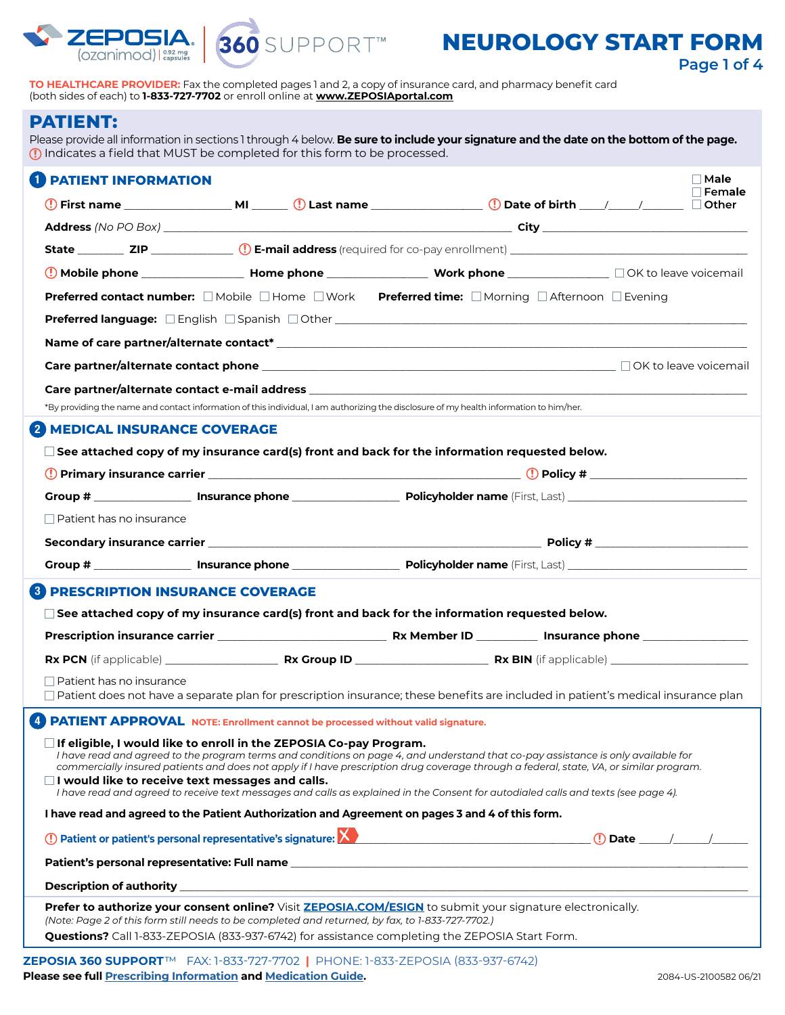



## **NEUROLOGY START FORM**

**Page 1 of 4**

**TO HEALTHCARE PROVIDER:** Fax the completed pages 1 and 2, a copy of insurance card, and pharmacy benefit card (both sides of each) to **1-833-727-7702** or enroll online at **[www.ZEPOSIAportal.com](https://www.zeposiaportal.com/zeposiaprovider/s/login/?ec=302&startURL=%2Fzeposiaprovider%2Fs%2F)**

### **PATIENT:**

 $\overline{\phantom{0}}$ 

Please provide all information in sections 1 through 4 below. **Be sure to include your signature and the date on the bottom of the page.** Indicates a field that MUST be completed for this form to be processed.

| <b>PATIENT INFORMATION</b>                                                                                                              |  |                                                                                                                                                                                                             | $\Box$ Male<br>Female                                                                                                                                                                                                                                                        |
|-----------------------------------------------------------------------------------------------------------------------------------------|--|-------------------------------------------------------------------------------------------------------------------------------------------------------------------------------------------------------------|------------------------------------------------------------------------------------------------------------------------------------------------------------------------------------------------------------------------------------------------------------------------------|
|                                                                                                                                         |  |                                                                                                                                                                                                             |                                                                                                                                                                                                                                                                              |
|                                                                                                                                         |  |                                                                                                                                                                                                             |                                                                                                                                                                                                                                                                              |
|                                                                                                                                         |  |                                                                                                                                                                                                             |                                                                                                                                                                                                                                                                              |
|                                                                                                                                         |  |                                                                                                                                                                                                             |                                                                                                                                                                                                                                                                              |
|                                                                                                                                         |  | <b>Preferred contact number:</b> ■ Mobile ■ Home ■ Work Preferred time: ■ Morning ■ Afternoon ■ Evening                                                                                                     |                                                                                                                                                                                                                                                                              |
|                                                                                                                                         |  |                                                                                                                                                                                                             |                                                                                                                                                                                                                                                                              |
|                                                                                                                                         |  |                                                                                                                                                                                                             |                                                                                                                                                                                                                                                                              |
|                                                                                                                                         |  |                                                                                                                                                                                                             |                                                                                                                                                                                                                                                                              |
|                                                                                                                                         |  |                                                                                                                                                                                                             |                                                                                                                                                                                                                                                                              |
|                                                                                                                                         |  | *By providing the name and contact information of this individual, I am authorizing the disclosure of my health information to him/her.                                                                     |                                                                                                                                                                                                                                                                              |
| <b>MEDICAL INSURANCE COVERAGE</b>                                                                                                       |  |                                                                                                                                                                                                             |                                                                                                                                                                                                                                                                              |
|                                                                                                                                         |  | $\square$ See attached copy of my insurance card(s) front and back for the information requested below.                                                                                                     |                                                                                                                                                                                                                                                                              |
|                                                                                                                                         |  |                                                                                                                                                                                                             |                                                                                                                                                                                                                                                                              |
|                                                                                                                                         |  |                                                                                                                                                                                                             |                                                                                                                                                                                                                                                                              |
| $\Box$ Patient has no insurance                                                                                                         |  |                                                                                                                                                                                                             |                                                                                                                                                                                                                                                                              |
|                                                                                                                                         |  |                                                                                                                                                                                                             |                                                                                                                                                                                                                                                                              |
|                                                                                                                                         |  |                                                                                                                                                                                                             |                                                                                                                                                                                                                                                                              |
| <b>PRESCRIPTION INSURANCE COVERAGE</b><br>3 I                                                                                           |  |                                                                                                                                                                                                             |                                                                                                                                                                                                                                                                              |
|                                                                                                                                         |  | $\Box$ See attached copy of my insurance card(s) front and back for the information requested below.                                                                                                        |                                                                                                                                                                                                                                                                              |
|                                                                                                                                         |  |                                                                                                                                                                                                             |                                                                                                                                                                                                                                                                              |
|                                                                                                                                         |  |                                                                                                                                                                                                             |                                                                                                                                                                                                                                                                              |
| $\Box$ Patient has no insurance                                                                                                         |  |                                                                                                                                                                                                             |                                                                                                                                                                                                                                                                              |
|                                                                                                                                         |  |                                                                                                                                                                                                             | $\Box$ Patient does not have a separate plan for prescription insurance; these benefits are included in patient's medical insurance plan                                                                                                                                     |
| 4 PATIENT APPROVAL NOTE: Enrollment cannot be processed without valid signature.                                                        |  |                                                                                                                                                                                                             |                                                                                                                                                                                                                                                                              |
| $\square$ If eligible, I would like to enroll in the ZEPOSIA Co-pay Program.<br>$\Box$ I would like to receive text messages and calls. |  | I have read and agreed to receive text messages and calls as explained in the Consent for autodialed calls and texts (see page 4).                                                                          | I have read and agreed to the program terms and conditions on page 4, and understand that co-pay assistance is only available for<br>commercially insured patients and does not apply if I have prescription drug coverage through a federal, state, VA, or similar program. |
|                                                                                                                                         |  | I have read and agreed to the Patient Authorization and Agreement on pages 3 and 4 of this form.                                                                                                            |                                                                                                                                                                                                                                                                              |
|                                                                                                                                         |  |                                                                                                                                                                                                             |                                                                                                                                                                                                                                                                              |
|                                                                                                                                         |  |                                                                                                                                                                                                             |                                                                                                                                                                                                                                                                              |
|                                                                                                                                         |  |                                                                                                                                                                                                             |                                                                                                                                                                                                                                                                              |
| (Note: Page 2 of this form still needs to be completed and returned, by fax, to 1-833-727-7702.)                                        |  | Prefer to authorize your consent online? Visit ZEPOSIA.COM/ESIGN to submit your signature electronically.<br>Questions? Call 1-833-ZEPOSIA (833-937-6742) for assistance completing the ZEPOSIA Start Form. |                                                                                                                                                                                                                                                                              |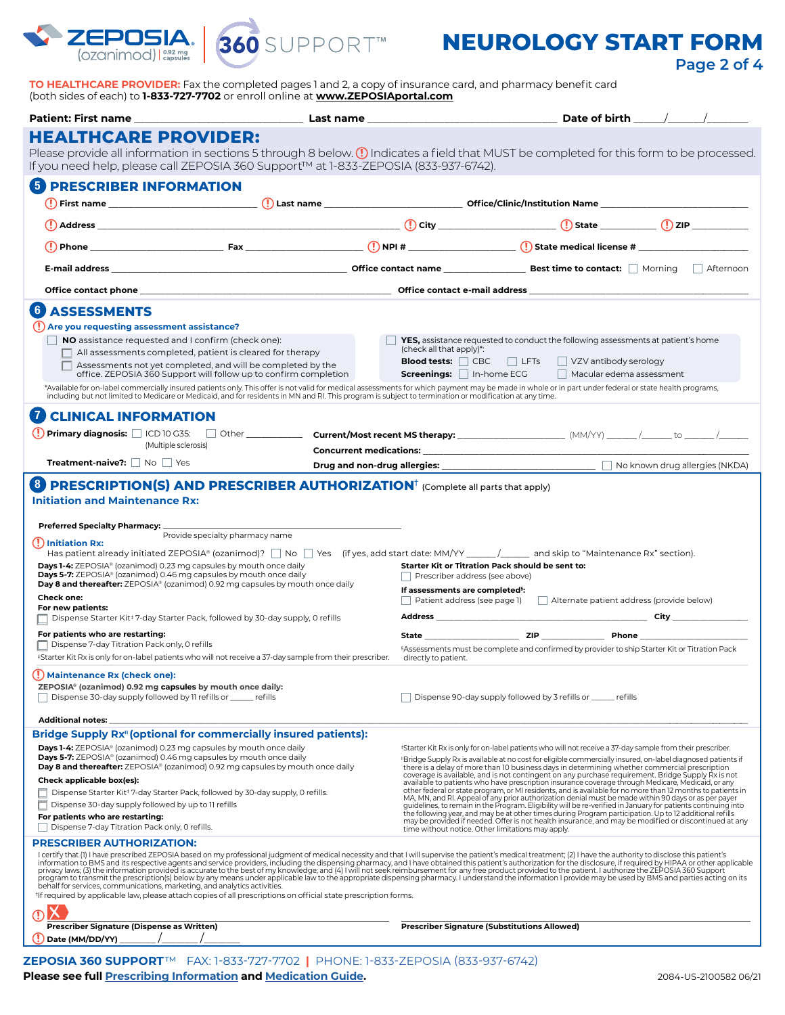

**Page 2 of 4**

**TO HEALTHCARE PROVIDER:** Fax the completed pages 1 and 2, a copy of insurance card, and pharmacy benefit card (both sides of each) to **1-833-727-7702** or enroll online at **[www.ZEPOSIAportal.com](https://www.zeposiaportal.com/zeposiaprovider/s/login/?ec=302&startURL=%2Fzeposiaprovider%2Fs%2F)**

|                                                                                                                                                                                                                                                                                                                                                                                                                                                                                                                                     |                                                                                                                                                                                                                                                                                                                                                                                                                                                                                                                                                                                                                                                                                                                                                                                                 |  |                                                                                                                                                                                                                                                                                                                                  |                                                                                                                                                                                                                     | Date of birth ______/______/__ |  |  |
|-------------------------------------------------------------------------------------------------------------------------------------------------------------------------------------------------------------------------------------------------------------------------------------------------------------------------------------------------------------------------------------------------------------------------------------------------------------------------------------------------------------------------------------|-------------------------------------------------------------------------------------------------------------------------------------------------------------------------------------------------------------------------------------------------------------------------------------------------------------------------------------------------------------------------------------------------------------------------------------------------------------------------------------------------------------------------------------------------------------------------------------------------------------------------------------------------------------------------------------------------------------------------------------------------------------------------------------------------|--|----------------------------------------------------------------------------------------------------------------------------------------------------------------------------------------------------------------------------------------------------------------------------------------------------------------------------------|---------------------------------------------------------------------------------------------------------------------------------------------------------------------------------------------------------------------|--------------------------------|--|--|
| <b>HEALTHCARE PROVIDER:</b>                                                                                                                                                                                                                                                                                                                                                                                                                                                                                                         |                                                                                                                                                                                                                                                                                                                                                                                                                                                                                                                                                                                                                                                                                                                                                                                                 |  |                                                                                                                                                                                                                                                                                                                                  |                                                                                                                                                                                                                     |                                |  |  |
|                                                                                                                                                                                                                                                                                                                                                                                                                                                                                                                                     | Please provide all information in sections 5 through 8 below. (1) Indicates a field that MUST be completed for this form to be processed.                                                                                                                                                                                                                                                                                                                                                                                                                                                                                                                                                                                                                                                       |  |                                                                                                                                                                                                                                                                                                                                  |                                                                                                                                                                                                                     |                                |  |  |
|                                                                                                                                                                                                                                                                                                                                                                                                                                                                                                                                     | If you need help, please call ZEPOSIA 360 Support™ at 1-833-ZEPOSIA (833-937-6742).                                                                                                                                                                                                                                                                                                                                                                                                                                                                                                                                                                                                                                                                                                             |  |                                                                                                                                                                                                                                                                                                                                  |                                                                                                                                                                                                                     |                                |  |  |
| <b>PRESCRIBER INFORMATION</b>                                                                                                                                                                                                                                                                                                                                                                                                                                                                                                       |                                                                                                                                                                                                                                                                                                                                                                                                                                                                                                                                                                                                                                                                                                                                                                                                 |  |                                                                                                                                                                                                                                                                                                                                  |                                                                                                                                                                                                                     |                                |  |  |
|                                                                                                                                                                                                                                                                                                                                                                                                                                                                                                                                     |                                                                                                                                                                                                                                                                                                                                                                                                                                                                                                                                                                                                                                                                                                                                                                                                 |  |                                                                                                                                                                                                                                                                                                                                  |                                                                                                                                                                                                                     |                                |  |  |
|                                                                                                                                                                                                                                                                                                                                                                                                                                                                                                                                     | $\begin{CD} \begin{CD} \end{CD} \end{CD}$ $\begin{CD} \end{CD}$ $\begin{CD} \end{CD}$ $\begin{CD} \end{CD}$ $\begin{CD} \end{CD}$ $\begin{CD} \end{CD}$ $\begin{CD} \end{CD}$ $\begin{CD} \end{CD}$ $\begin{CD} \end{CD}$ $\begin{CD} \end{CD}$ $\begin{CD} \end{CD}$ $\begin{CD} \end{CD}$ $\begin{CD} \end{CD}$ $\begin{CD} \end{CD}$ $\begin{CD} \end{CD}$ $\begin{CD} \end{CD}$ $\begin$                                                                                                                                                                                                                                                                                                                                                                                                    |  |                                                                                                                                                                                                                                                                                                                                  |                                                                                                                                                                                                                     |                                |  |  |
|                                                                                                                                                                                                                                                                                                                                                                                                                                                                                                                                     |                                                                                                                                                                                                                                                                                                                                                                                                                                                                                                                                                                                                                                                                                                                                                                                                 |  |                                                                                                                                                                                                                                                                                                                                  |                                                                                                                                                                                                                     |                                |  |  |
|                                                                                                                                                                                                                                                                                                                                                                                                                                                                                                                                     |                                                                                                                                                                                                                                                                                                                                                                                                                                                                                                                                                                                                                                                                                                                                                                                                 |  |                                                                                                                                                                                                                                                                                                                                  |                                                                                                                                                                                                                     |                                |  |  |
|                                                                                                                                                                                                                                                                                                                                                                                                                                                                                                                                     |                                                                                                                                                                                                                                                                                                                                                                                                                                                                                                                                                                                                                                                                                                                                                                                                 |  |                                                                                                                                                                                                                                                                                                                                  |                                                                                                                                                                                                                     |                                |  |  |
|                                                                                                                                                                                                                                                                                                                                                                                                                                                                                                                                     |                                                                                                                                                                                                                                                                                                                                                                                                                                                                                                                                                                                                                                                                                                                                                                                                 |  |                                                                                                                                                                                                                                                                                                                                  |                                                                                                                                                                                                                     |                                |  |  |
| <b>ASSESSMENTS</b>                                                                                                                                                                                                                                                                                                                                                                                                                                                                                                                  |                                                                                                                                                                                                                                                                                                                                                                                                                                                                                                                                                                                                                                                                                                                                                                                                 |  |                                                                                                                                                                                                                                                                                                                                  |                                                                                                                                                                                                                     |                                |  |  |
| (!) Are you requesting assessment assistance?                                                                                                                                                                                                                                                                                                                                                                                                                                                                                       | NO assistance requested and I confirm (check one):                                                                                                                                                                                                                                                                                                                                                                                                                                                                                                                                                                                                                                                                                                                                              |  |                                                                                                                                                                                                                                                                                                                                  | YES, assistance requested to conduct the following assessments at patient's home                                                                                                                                    |                                |  |  |
|                                                                                                                                                                                                                                                                                                                                                                                                                                                                                                                                     | $\Box$ All assessments completed, patient is cleared for therapy                                                                                                                                                                                                                                                                                                                                                                                                                                                                                                                                                                                                                                                                                                                                |  | (check all that apply)*:                                                                                                                                                                                                                                                                                                         |                                                                                                                                                                                                                     |                                |  |  |
|                                                                                                                                                                                                                                                                                                                                                                                                                                                                                                                                     | $\Box$ Assessments not yet completed, and will be completed by the<br>office. ZEPOSIA 360 Support will follow up to confirm completion                                                                                                                                                                                                                                                                                                                                                                                                                                                                                                                                                                                                                                                          |  | <b>Screenings:</b> $\Box$ In-home ECG                                                                                                                                                                                                                                                                                            | <b>Blood tests:</b> CBC LFTs VZV antibody serology<br>Macular edema assessment                                                                                                                                      |                                |  |  |
|                                                                                                                                                                                                                                                                                                                                                                                                                                                                                                                                     | *Available for on-label commercially insured patients only. This offer is not valid for medical assessments for which payment may be made in whole or in part under federal or state health programs,<br>including but not limited to Medicare or Medicaid, and for residents in MN and RI. This program is subject to termination or modification at any time.                                                                                                                                                                                                                                                                                                                                                                                                                                 |  |                                                                                                                                                                                                                                                                                                                                  |                                                                                                                                                                                                                     |                                |  |  |
|                                                                                                                                                                                                                                                                                                                                                                                                                                                                                                                                     |                                                                                                                                                                                                                                                                                                                                                                                                                                                                                                                                                                                                                                                                                                                                                                                                 |  |                                                                                                                                                                                                                                                                                                                                  |                                                                                                                                                                                                                     |                                |  |  |
| <b>CLINICAL INFORMATION</b>                                                                                                                                                                                                                                                                                                                                                                                                                                                                                                         |                                                                                                                                                                                                                                                                                                                                                                                                                                                                                                                                                                                                                                                                                                                                                                                                 |  |                                                                                                                                                                                                                                                                                                                                  |                                                                                                                                                                                                                     |                                |  |  |
|                                                                                                                                                                                                                                                                                                                                                                                                                                                                                                                                     | (Multiple sclerosis)                                                                                                                                                                                                                                                                                                                                                                                                                                                                                                                                                                                                                                                                                                                                                                            |  |                                                                                                                                                                                                                                                                                                                                  | <b>Concurrent medications: Example 2018</b>                                                                                                                                                                         |                                |  |  |
|                                                                                                                                                                                                                                                                                                                                                                                                                                                                                                                                     | <b>Treatment-naive?:</b> $\Box$ No $\Box$ Yes                                                                                                                                                                                                                                                                                                                                                                                                                                                                                                                                                                                                                                                                                                                                                   |  |                                                                                                                                                                                                                                                                                                                                  |                                                                                                                                                                                                                     |                                |  |  |
|                                                                                                                                                                                                                                                                                                                                                                                                                                                                                                                                     | <b>PRESCRIPTION(S) AND PRESCRIBER AUTHORIZATION</b> <sup>†</sup> (Complete all parts that apply)                                                                                                                                                                                                                                                                                                                                                                                                                                                                                                                                                                                                                                                                                                |  |                                                                                                                                                                                                                                                                                                                                  |                                                                                                                                                                                                                     |                                |  |  |
| Has patient already initiated ZEPOSIA® (ozanimod)? $\Box$ No $\Box$ Yes (if yes, add start date: MM/YY ______/ _____ and skip to "Maintenance Rx" section).<br>Days 1-4: ZEPOSIA® (ozanimod) 0.23 mg capsules by mouth once daily<br>Days 5-7: ZEPOSIA® (ozanimod) 0.46 mg capsules by mouth once daily<br>Day 8 and thereafter: ZEPOSIA® (ozanimod) 0.92 mg capsules by mouth once daily<br><b>Check one:</b><br>For new patients:<br>□ Dispense Starter Kit <sup>‡</sup> 7-day Starter Pack, followed by 30-day supply, 0 refills |                                                                                                                                                                                                                                                                                                                                                                                                                                                                                                                                                                                                                                                                                                                                                                                                 |  | Starter Kit or Titration Pack should be sent to:<br>Prescriber address (see above)<br>If assessments are completed <sup>§</sup> :<br>Patient address (see page 1)       Alternate patient address (provide below)                                                                                                                |                                                                                                                                                                                                                     |                                |  |  |
| For patients who are restarting:                                                                                                                                                                                                                                                                                                                                                                                                                                                                                                    |                                                                                                                                                                                                                                                                                                                                                                                                                                                                                                                                                                                                                                                                                                                                                                                                 |  |                                                                                                                                                                                                                                                                                                                                  | State <b>Example 22</b> ZIP <b>Phone Phone Phone</b>                                                                                                                                                                |                                |  |  |
| Dispense 7-day Titration Pack only, 0 refills                                                                                                                                                                                                                                                                                                                                                                                                                                                                                       |                                                                                                                                                                                                                                                                                                                                                                                                                                                                                                                                                                                                                                                                                                                                                                                                 |  |                                                                                                                                                                                                                                                                                                                                  | <sup>§</sup> Assessments must be complete and confirmed by provider to ship Starter Kit or Titration Pack                                                                                                           |                                |  |  |
|                                                                                                                                                                                                                                                                                                                                                                                                                                                                                                                                     | *Starter Kit Rx is only for on-label patients who will not receive a 37-day sample from their prescriber.                                                                                                                                                                                                                                                                                                                                                                                                                                                                                                                                                                                                                                                                                       |  | directly to patient.                                                                                                                                                                                                                                                                                                             |                                                                                                                                                                                                                     |                                |  |  |
| (!) Maintenance Rx (check one):<br>ZEPOSIA® (ozanimod) 0.92 mg capsules by mouth once daily:<br>  Dispense 30-day supply followed by 11 refills or ______ refills                                                                                                                                                                                                                                                                                                                                                                   |                                                                                                                                                                                                                                                                                                                                                                                                                                                                                                                                                                                                                                                                                                                                                                                                 |  | Dispense 90-day supply followed by 3 refills or _____ refills                                                                                                                                                                                                                                                                    |                                                                                                                                                                                                                     |                                |  |  |
| <b>Additional notes:</b>                                                                                                                                                                                                                                                                                                                                                                                                                                                                                                            |                                                                                                                                                                                                                                                                                                                                                                                                                                                                                                                                                                                                                                                                                                                                                                                                 |  |                                                                                                                                                                                                                                                                                                                                  |                                                                                                                                                                                                                     |                                |  |  |
|                                                                                                                                                                                                                                                                                                                                                                                                                                                                                                                                     | <b>Bridge Supply Rx"</b> (optional for commercially insured patients):<br>Days 1-4: ZEPOSIA® (ozanimod) 0.23 mg capsules by mouth once daily                                                                                                                                                                                                                                                                                                                                                                                                                                                                                                                                                                                                                                                    |  |                                                                                                                                                                                                                                                                                                                                  | \$55 Starter Kit Rx is only for on-label patients who will not receive a 37-day sample from their prescriber.                                                                                                       |                                |  |  |
|                                                                                                                                                                                                                                                                                                                                                                                                                                                                                                                                     | <b>Days 5-7:</b> ZEPOSIA <sup>®</sup> (ozanimod) 0.46 mg capsules by mouth once daily<br><b>Day 8 and thereafter:</b> ZEPOSIA® (ozanimod) 0.92 mg capsules by mouth once daily                                                                                                                                                                                                                                                                                                                                                                                                                                                                                                                                                                                                                  |  | "Bridge Supply Rx is available at no cost for eligible commercially insured, on-label diagnosed patients if<br>there is a delay of more than 10 business days in determining whether commercial prescription                                                                                                                     |                                                                                                                                                                                                                     |                                |  |  |
| Check applicable box(es):                                                                                                                                                                                                                                                                                                                                                                                                                                                                                                           |                                                                                                                                                                                                                                                                                                                                                                                                                                                                                                                                                                                                                                                                                                                                                                                                 |  |                                                                                                                                                                                                                                                                                                                                  | coverage is available, and is not contingent on any purchase requirement. Bridge Supply Rx is not<br>available to patients who have prescription insurance coverage through Medicare, Medicaid, or any              |                                |  |  |
|                                                                                                                                                                                                                                                                                                                                                                                                                                                                                                                                     | Dispense Starter Kit <sup>‡</sup> 7-day Starter Pack, followed by 30-day supply, 0 refills.                                                                                                                                                                                                                                                                                                                                                                                                                                                                                                                                                                                                                                                                                                     |  |                                                                                                                                                                                                                                                                                                                                  | other federal or state program, or MI residents, and is available for no more than 12 months to patients in<br>MA, MN, and RI. Appeal of any prior authorization denial must be made within 90 days or as per payer |                                |  |  |
| Dispense 30-day supply followed by up to 11 refills<br>For patients who are restarting:                                                                                                                                                                                                                                                                                                                                                                                                                                             |                                                                                                                                                                                                                                                                                                                                                                                                                                                                                                                                                                                                                                                                                                                                                                                                 |  | guidelines, to remain in the Program. Eligibility will be re-verified in January for patients continuing into<br>the following year, and may be at other times during Program participation. Up to 12 additional refills<br>may be provided if needed. Offer is not health insurance, and may be modified or discontinued at any |                                                                                                                                                                                                                     |                                |  |  |
| Dispense 7-day Titration Pack only, 0 refills.                                                                                                                                                                                                                                                                                                                                                                                                                                                                                      |                                                                                                                                                                                                                                                                                                                                                                                                                                                                                                                                                                                                                                                                                                                                                                                                 |  | time without notice. Other limitations may apply.                                                                                                                                                                                                                                                                                |                                                                                                                                                                                                                     |                                |  |  |
| <b>PRESCRIBER AUTHORIZATION:</b>                                                                                                                                                                                                                                                                                                                                                                                                                                                                                                    | I certify that (I) I have prescribed ZEPOSIA based on my professional judgment of medical necessity and that I will supervise the patient's medical treatment; (2) I have the authority to disclose this patient's<br>information to BMS and its respective agents and service providers, including the dispensing pharmacy, and I have obtained this patient's authorization for the disclosure, if required by HIPAA or other applicable<br>monder in the information provided is accurate to the best of my knowledge; and (4) I will not seek reimbursement for any free product product product of the patient. I authorize the ZEPOSIA 360 Support provided is accurat<br>*If required by applicable law, please attach copies of all prescriptions on official state prescription forms. |  |                                                                                                                                                                                                                                                                                                                                  |                                                                                                                                                                                                                     |                                |  |  |
| Prescriber Signature (Dispense as Written)                                                                                                                                                                                                                                                                                                                                                                                                                                                                                          |                                                                                                                                                                                                                                                                                                                                                                                                                                                                                                                                                                                                                                                                                                                                                                                                 |  | <b>Prescriber Signature (Substitutions Allowed)</b>                                                                                                                                                                                                                                                                              |                                                                                                                                                                                                                     |                                |  |  |
| Date (MM/DD/YY)                                                                                                                                                                                                                                                                                                                                                                                                                                                                                                                     |                                                                                                                                                                                                                                                                                                                                                                                                                                                                                                                                                                                                                                                                                                                                                                                                 |  |                                                                                                                                                                                                                                                                                                                                  |                                                                                                                                                                                                                     |                                |  |  |
|                                                                                                                                                                                                                                                                                                                                                                                                                                                                                                                                     | ZEPOSIA 360 SUPPORT™ FAX: 1-833-727-7702   PHONE: 1-833-ZEPOSIA (833-937-6742)                                                                                                                                                                                                                                                                                                                                                                                                                                                                                                                                                                                                                                                                                                                  |  |                                                                                                                                                                                                                                                                                                                                  |                                                                                                                                                                                                                     |                                |  |  |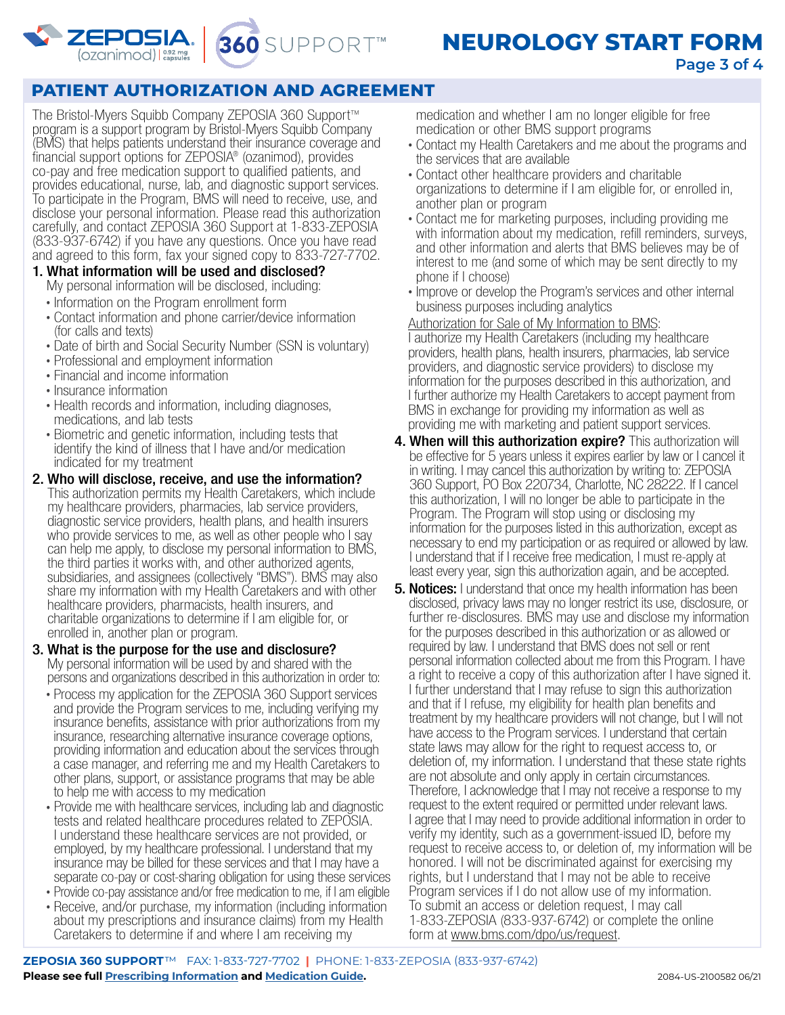



### **PATIENT AUTHORIZATION AND AGREEMENT**

The Bristol-Myers Squibb Company ZEPOSIA 360 Support™ program is a support program by Bristol-Myers Squibb Company (BMS) that helps patients understand their insurance coverage and financial support options for ZEPOSIA® (ozanimod), provides co-pay and free medication support to qualified patients, and provides educational, nurse, lab, and diagnostic support services. To participate in the Program, BMS will need to receive, use, and disclose your personal information. Please read this authorization carefully, and contact ZEPOSIA 360 Support at 1-833-ZEPOSIA (833-937-6742) if you have any questions. Once you have read and agreed to this form, fax your signed copy to 833-727-7702.

- 1. What information will be used and disclosed? My personal information will be disclosed, including:
	-
	- Information on the Program enrollment form Contact information and phone carrier/device information (for calls and texts)
	- Date of birth and Social Security Number (SSN is voluntary) Professional and employment information
	-
	- Financial and income information<br>• Insurance information
	-
	- Health records and information, including diagnoses, medications, and lab tests
	- Biometric and genetic information, including tests that identify the kind of illness that I have and/or medication indicated for my treatment
- 2. Who will disclose, receive, and use the information? This authorization permits my Health Caretakers, which include my healthcare providers, pharmacies, lab service providers, diagnostic service providers, health plans, and health insurers who provide services to me, as well as other people who I say can help me apply, to disclose my personal information to BMS, the third parties it works with, and other authorized agents, subsidiaries, and assignees (collectively "BMS"). BMS may also share my information with my Health Caretakers and with other healthcare providers, pharmacists, health insurers, and charitable organizations to determine if I am eligible for, or enrolled in, another plan or program.
- 3. What is the purpose for the use and disclosure? My personal information will be used by and shared with the persons and organizations described in this authorization in order to:
	- Process my application for the ZEPOSIA 360 Support services and provide the Program services to me, including verifying my insurance benefits, assistance with prior authorizations from my insurance, researching alternative insurance coverage options, providing information and education about the services through a case manager, and referring me and my Health Caretakers to other plans, support, or assistance programs that may be able to help me with access to my medication
	- Provide me with healthcare services, including lab and diagnostic tests and related healthcare procedures related to ZEPOSIA. I understand these healthcare services are not provided, or employed, by my healthcare professional. I understand that my insurance may be billed for these services and that I may have a separate co-pay or cost-sharing obligation for using these services
	- Provide co-pay assistance and/or free medication to me, if I am eligible
	- Receive, and/or purchase, my information (including information about my prescriptions and insurance claims) from my Health Caretakers to determine if and where I am receiving my

medication and whether I am no longer eligible for free medication or other BMS support programs

- Contact my Health Caretakers and me about the programs and the services that are available
- Contact other healthcare providers and charitable organizations to determine if I am eligible for, or enrolled in, another plan or program
- Contact me for marketing purposes, including providing me with information about my medication, refill reminders, surveys, and other information and alerts that BMS believes may be of interest to me (and some of which may be sent directly to my phone if I choose)
- Improve or develop the Program's services and other internal business purposes including analytics

### Authorization for Sale of My Information to BMS:

I authorize my Health Caretakers (including my healthcare providers, health plans, health insurers, pharmacies, lab service providers, and diagnostic service providers) to disclose my information for the purposes described in this authorization, and I further authorize my Health Caretakers to accept payment from BMS in exchange for providing my information as well as providing me with marketing and patient support services.

- **4. When will this authorization expire?** This authorization will be effective for 5 years unless it expires earlier by law or I cancel it in writing. I may cancel this authorization by writing to: ZEPOSIA 360 Support, PO Box 220734, Charlotte, NC 28222. If I cancel this authorization, I will no longer be able to participate in the Program. The Program will stop using or disclosing my information for the purposes listed in this authorization, except as necessary to end my participation or as required or allowed by law. I understand that if I receive free medication, I must re-apply at least every year, sign this authorization again, and be accepted.
- **5. Notices:** I understand that once my health information has been disclosed, privacy laws may no longer restrict its use, disclosure, or further re-disclosures. BMS may use and disclose my information for the purposes described in this authorization or as allowed or required by law. I understand that BMS does not sell or rent personal information collected about me from this Program. I have a right to receive a copy of this authorization after I have signed it. I further understand that I may refuse to sign this authorization and that if I refuse, my eligibility for health plan benefits and treatment by my healthcare providers will not change, but I will not have access to the Program services. I understand that certain state laws may allow for the right to request access to, or deletion of, my information. I understand that these state rights are not absolute and only apply in certain circumstances. Therefore, I acknowledge that I may not receive a response to my request to the extent required or permitted under relevant laws. I agree that I may need to provide additional information in order to verify my identity, such as a government-issued ID, before my request to receive access to, or deletion of, my information will be honored. I will not be discriminated against for exercising my rights, but I understand that I may not be able to receive Program services if I do not allow use of my information. To submit an access or deletion request, I may call 1-833-ZEPOSIA (833-937-6742) or complete the online form at <www.bms.com/dpo/us/request>.

**ZEPOSIA 360 SUPPORT**™FAX: 1-833-727-7702 **|** PHONE: 1-833-ZEPOSIA (833-937-6742) **Please see full [Prescribing Information](https://packageinserts.bms.com/pi/pi_zeposia.pdf) and [Medication Guide.](https://packageinserts.bms.com/medguide/medguide_zeposia.pdf)** 2084-US-2100582 06/21